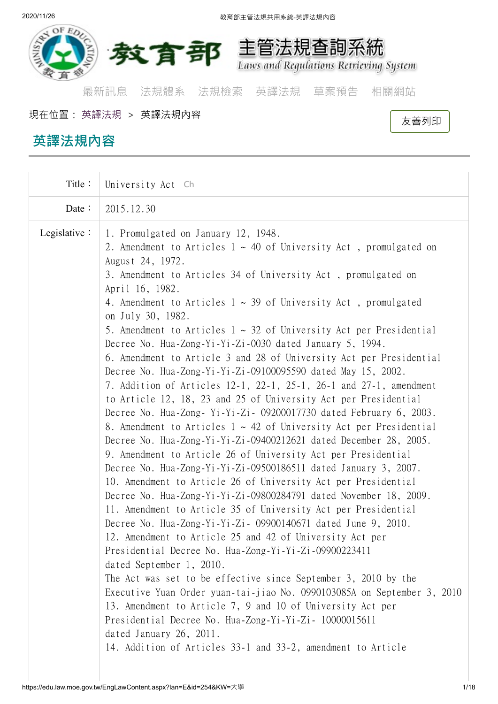

[最新訊息](https://edu.law.moe.gov.tw/index.aspx) [法規體系](https://edu.law.moe.gov.tw/LawCategoryMain.aspx) [法規檢索](https://edu.law.moe.gov.tw/LawQuery.aspx) [英譯法規](https://edu.law.moe.gov.tw/EngLawQuery.aspx) [草案預告](https://edu.law.moe.gov.tw/DraftForum.aspx) [相關網站](https://edu.law.moe.gov.tw/WebList.aspx)

現在位置: [英譯法規](https://edu.law.moe.gov.tw/EngLawQuery.aspx) <sup>&</sup>gt; 英譯法規內容  [友善列印](https://edu.law.moe.gov.tw/EngLawContent.aspx?media=print&lan=E&id=254)

**英譯法規內容**

# Title: University Act **[Ch](https://edu.law.moe.gov.tw/EngLawContent.aspx?lan=C&id=254)** Date:  $\frac{1}{2015.12.30}$ Legislative: 1. Promulgated on January 12, 1948. 2. Amendment to Articles  $1 \sim 40$  of University Act, promulgated on August 24, 1972. 3. Amendment to Articles 34 of University Act , promulgated on April 16, 1982. 4. Amendment to Articles  $1 \sim 39$  of University Act, promulgated on July 30, 1982. 5. Amendment to Articles  $1 \sim 32$  of University Act per Presidential Decree No. Hua-Zong-Yi-Yi-Zi-0030 dated January 5, 1994. 6. Amendment to Article 3 and 28 of University Act per Presidential Decree No. Hua-Zong-Yi-Yi-Zi-09100095590 dated May 15, 2002. 7. Addition of Articles 12-1, 22-1, 25-1, 26-1 and 27-1, amendment to Article 12, 18, 23 and 25 of University Act per Presidential Decree No. Hua-Zong- Yi-Yi-Zi- 09200017730 dated February 6, 2003. 8. Amendment to Articles  $1 \sim 42$  of University Act per Presidential Decree No. Hua-Zong-Yi-Yi-Zi-09400212621 dated December 28, 2005. 9. Amendment to Article 26 of University Act per Presidential Decree No. Hua-Zong-Yi-Yi-Zi-09500186511 dated January 3, 2007. 10. Amendment to Article 26 of University Act per Presidential Decree No. Hua-Zong-Yi-Yi-Zi-09800284791 dated November 18, 2009. 11. Amendment to Article 35 of University Act per Presidential Decree No. Hua-Zong-Yi-Yi-Zi- 09900140671 dated June 9, 2010. 12. Amendment to Article 25 and 42 of University Act per Presidential Decree No. Hua-Zong-Yi-Yi-Zi-09900223411 dated September 1, 2010. The Act was set to be effective since September 3, 2010 by the Executive Yuan Order yuan-tai-jiao No. 0990103085A on September 3, 2010 13. Amendment to Article 7, 9 and 10 of University Act per Presidential Decree No. Hua-Zong-Yi-Yi-Zi- 10000015611 dated January 26, 2011. 14. Addition of Articles 33-1 and 33-2, amendment to Article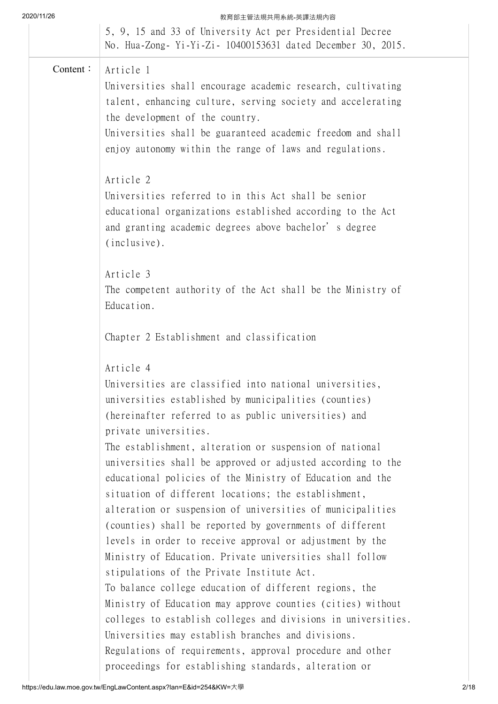| 2020/11/26 | 教育部主管法規共用系統-英譯法規內容                                                                                                                                            |
|------------|---------------------------------------------------------------------------------------------------------------------------------------------------------------|
|            | 5, 9, 15 and 33 of University Act per Presidential Decree<br>No. Hua-Zong- Yi-Yi-Zi- 10400153631 dated December 30, 2015.                                     |
| Content:   | Article 1                                                                                                                                                     |
|            | Universities shall encourage academic research, cultivating<br>talent, enhancing culture, serving society and accelerating<br>the development of the country. |
|            | Universities shall be guaranteed academic freedom and shall<br>enjoy autonomy within the range of laws and regulations.                                       |
|            | Article 2                                                                                                                                                     |
|            | Universities referred to in this Act shall be senior<br>educational organizations established according to the Act                                            |
|            | and granting academic degrees above bachelor's degree<br>(inclusive).                                                                                         |
|            | Article 3                                                                                                                                                     |
|            | The competent authority of the Act shall be the Ministry of<br>Education.                                                                                     |
|            | Chapter 2 Establishment and classification                                                                                                                    |
|            | Article 4                                                                                                                                                     |
|            | Universities are classified into national universities,                                                                                                       |
|            | universities established by municipalities (counties)                                                                                                         |
|            | (hereinafter referred to as public universities) and                                                                                                          |
|            | private universities.                                                                                                                                         |
|            | The establishment, alteration or suspension of national<br>universities shall be approved or adjusted according to the                                        |
|            | educational policies of the Ministry of Education and the                                                                                                     |
|            | situation of different locations; the establishment,                                                                                                          |
|            | alteration or suspension of universities of municipalities                                                                                                    |
|            | (counties) shall be reported by governments of different                                                                                                      |
|            | levels in order to receive approval or adjustment by the                                                                                                      |

Ministry of Education. Private universities shall follow stipulations of the Private Institute Act. To balance college education of different regions, the

Ministry of Education may approve counties (cities) without colleges to establish colleges and divisions in universities. Universities may establish branches and divisions. Regulations of requirements, approval procedure and other proceedings for establishing standards, alteration or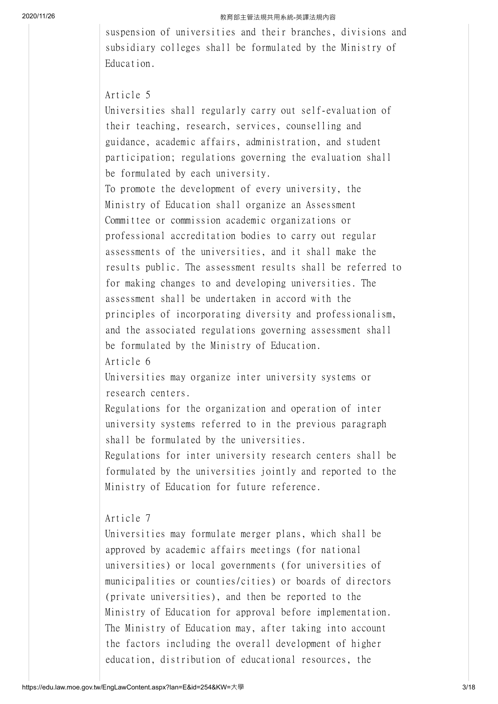suspension of universities and their branches, divisions and subsidiary colleges shall be formulated by the Ministry of Education.

## Article 5

Universities shall regularly carry out self-evaluation of their teaching, research, services, counselling and guidance, academic affairs, administration, and student participation; regulations governing the evaluation shall be formulated by each university.

To promote the development of every university, the Ministry of Education shall organize an Assessment Committee or commission academic organizations or professional accreditation bodies to carry out regular assessments of the universities, and it shall make the results public. The assessment results shall be referred to for making changes to and developing universities. The assessment shall be undertaken in accord with the principles of incorporating diversity and professionalism, and the associated regulations governing assessment shall be formulated by the Ministry of Education.

Article 6

Universities may organize inter university systems or research centers.

Regulations for the organization and operation of inter university systems referred to in the previous paragraph shall be formulated by the universities.

Regulations for inter university research centers shall be formulated by the universities jointly and reported to the Ministry of Education for future reference.

# Article 7

Universities may formulate merger plans, which shall be approved by academic affairs meetings (for national universities) or local governments (for universities of municipalities or counties/cities) or boards of directors (private universities), and then be reported to the Ministry of Education for approval before implementation. The Ministry of Education may, after taking into account the factors including the overall development of higher education, distribution of educational resources, the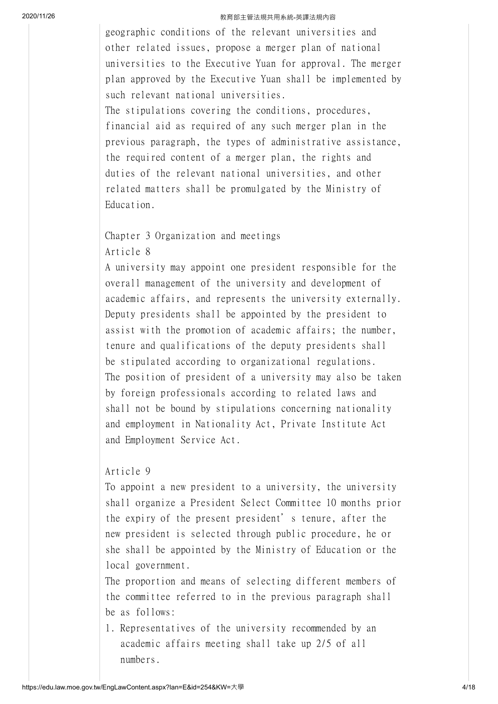geographic conditions of the relevant universities and other related issues, propose a merger plan of national universities to the Executive Yuan for approval. The merger plan approved by the Executive Yuan shall be implemented by such relevant national universities.

The stipulations covering the conditions, procedures, financial aid as required of any such merger plan in the previous paragraph, the types of administrative assistance, the required content of a merger plan, the rights and duties of the relevant national universities, and other related matters shall be promulgated by the Ministry of Education.

# Chapter 3 Organization and meetings Article 8

A university may appoint one president responsible for the overall management of the university and development of academic affairs, and represents the university externally. Deputy presidents shall be appointed by the president to assist with the promotion of academic affairs; the number, tenure and qualifications of the deputy presidents shall be stipulated according to organizational regulations. The position of president of a university may also be taken by foreign professionals according to related laws and shall not be bound by stipulations concerning nationality and employment in Nationality Act, Private Institute Act and Employment Service Act.

# Article 9

To appoint a new president to a university, the university shall organize a President Select Committee 10 months prior the expiry of the present president's tenure, after the new president is selected through public procedure, he or she shall be appointed by the Ministry of Education or the local government.

The proportion and means of selecting different members of the committee referred to in the previous paragraph shall be as follows:

1. Representatives of the university recommended by an academic affairs meeting shall take up 2/5 of all numbers.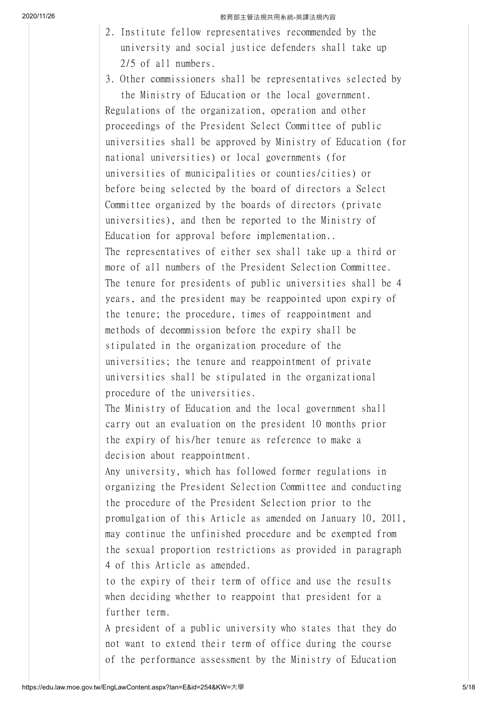2. Institute fellow representatives recommended by the university and social justice defenders shall take up 2/5 of all numbers.

3. Other commissioners shall be representatives selected by the Ministry of Education or the local government. Regulations of the organization, operation and other proceedings of the President Select Committee of public universities shall be approved by Ministry of Education (for national universities) or local governments (for universities of municipalities or counties/cities) or before being selected by the board of directors a Select Committee organized by the boards of directors (private universities), and then be reported to the Ministry of Education for approval before implementation.. The representatives of either sex shall take up a third or more of all numbers of the President Selection Committee. The tenure for presidents of public universities shall be 4 years, and the president may be reappointed upon expiry of the tenure; the procedure, times of reappointment and methods of decommission before the expiry shall be stipulated in the organization procedure of the universities; the tenure and reappointment of private universities shall be stipulated in the organizational procedure of the universities. The Ministry of Education and the local government shall carry out an evaluation on the president 10 months prior the expiry of his/her tenure as reference to make a decision about reappointment. Any university, which has followed former regulations in organizing the President Selection Committee and conducting the procedure of the President Selection prior to the promulgation of this Article as amended on January 10, 2011, may continue the unfinished procedure and be exempted from the sexual proportion restrictions as provided in paragraph 4 of this Article as amended.

to the expiry of their term of office and use the results when deciding whether to reappoint that president for a further term.

A president of a public university who states that they do not want to extend their term of office during the course of the performance assessment by the Ministry of Education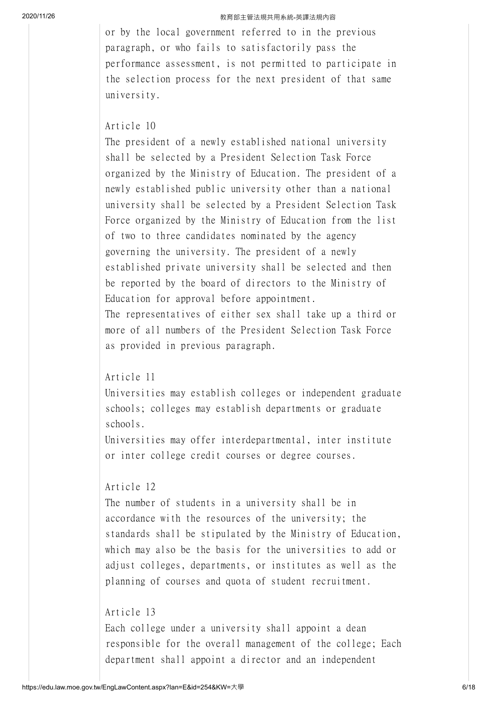or by the local government referred to in the previous paragraph, or who fails to satisfactorily pass the performance assessment, is not permitted to participate in the selection process for the next president of that same university.

# Article 10

The president of a newly established national university shall be selected by a President Selection Task Force organized by the Ministry of Education. The president of a newly established public university other than a national university shall be selected by a President Selection Task Force organized by the Ministry of Education from the list of two to three candidates nominated by the agency governing the university. The president of a newly established private university shall be selected and then be reported by the board of directors to the Ministry of Education for approval before appointment. The representatives of either sex shall take up a third or more of all numbers of the President Selection Task Force

#### Article 11

as provided in previous paragraph.

Universities may establish colleges or independent graduate schools; colleges may establish departments or graduate schools.

Universities may offer interdepartmental, inter institute or inter college credit courses or degree courses.

# Article 12

The number of students in a university shall be in accordance with the resources of the university; the standards shall be stipulated by the Ministry of Education, which may also be the basis for the universities to add or adjust colleges, departments, or institutes as well as the planning of courses and quota of student recruitment.

## Article 13

Each college under a university shall appoint a dean responsible for the overall management of the college; Each department shall appoint a director and an independent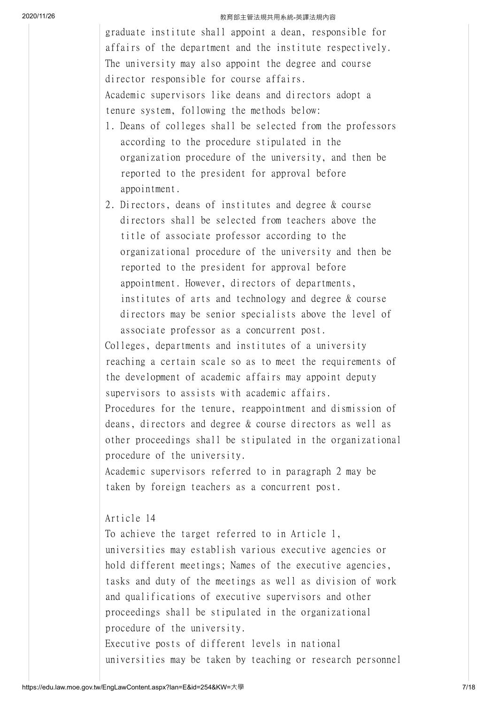graduate institute shall appoint a dean, responsible for affairs of the department and the institute respectively. The university may also appoint the degree and course director responsible for course affairs. Academic supervisors like deans and directors adopt a tenure system, following the methods below:

- 1. Deans of colleges shall be selected from the professors according to the procedure stipulated in the organization procedure of the university, and then be reported to the president for approval before appointment.
- 2. Directors, deans of institutes and degree & course directors shall be selected from teachers above the title of associate professor according to the organizational procedure of the university and then be reported to the president for approval before appointment. However, directors of departments, institutes of arts and technology and degree & course directors may be senior specialists above the level of associate professor as a concurrent post.

Colleges, departments and institutes of a university reaching a certain scale so as to meet the requirements of the development of academic affairs may appoint deputy supervisors to assists with academic affairs. Procedures for the tenure, reappointment and dismission of deans, directors and degree & course directors as well as other proceedings shall be stipulated in the organizational procedure of the university.

Academic supervisors referred to in paragraph 2 may be taken by foreign teachers as a concurrent post.

# Article 14

To achieve the target referred to in Article 1, universities may establish various executive agencies or hold different meetings; Names of the executive agencies, tasks and duty of the meetings as well as division of work and qualifications of executive supervisors and other proceedings shall be stipulated in the organizational procedure of the university. Executive posts of different levels in national universities may be taken by teaching or research personnel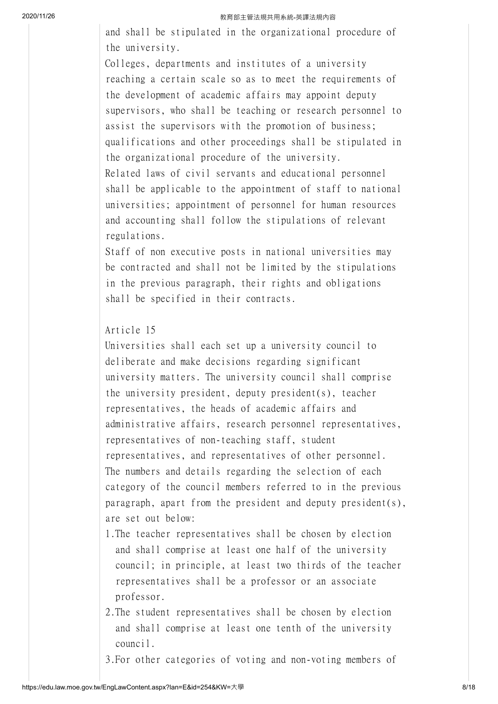and shall be stipulated in the organizational procedure of the university.

Colleges, departments and institutes of a university reaching a certain scale so as to meet the requirements of the development of academic affairs may appoint deputy supervisors, who shall be teaching or research personnel to assist the supervisors with the promotion of business; qualifications and other proceedings shall be stipulated in the organizational procedure of the university. Related laws of civil servants and educational personnel shall be applicable to the appointment of staff to national universities; appointment of personnel for human resources and accounting shall follow the stipulations of relevant regulations.

Staff of non executive posts in national universities may be contracted and shall not be limited by the stipulations in the previous paragraph, their rights and obligations shall be specified in their contracts.

# Article 15

Universities shall each set up a university council to deliberate and make decisions regarding significant university matters. The university council shall comprise the university president, deputy president(s), teacher representatives, the heads of academic affairs and administrative affairs, research personnel representatives, representatives of non-teaching staff, student representatives, and representatives of other personnel. The numbers and details regarding the selection of each category of the council members referred to in the previous paragraph, apart from the president and deputy president(s), are set out below:

- 1.The teacher representatives shall be chosen by election and shall comprise at least one half of the university council; in principle, at least two thirds of the teacher representatives shall be a professor or an associate professor.
- 2.The student representatives shall be chosen by election and shall comprise at least one tenth of the university council.
- 3.For other categories of voting and non-voting members of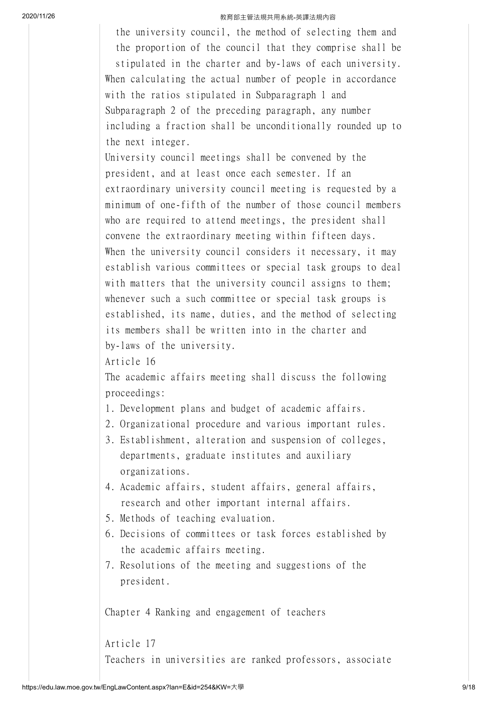the university council, the method of selecting them and the proportion of the council that they comprise shall be stipulated in the charter and by-laws of each university. When calculating the actual number of people in accordance with the ratios stipulated in Subparagraph 1 and Subparagraph 2 of the preceding paragraph, any number including a fraction shall be unconditionally rounded up to the next integer.

University council meetings shall be convened by the president, and at least once each semester. If an extraordinary university council meeting is requested by a minimum of one-fifth of the number of those council members who are required to attend meetings, the president shall convene the extraordinary meeting within fifteen days. When the university council considers it necessary, it may establish various committees or special task groups to deal with matters that the university council assigns to them; whenever such a such committee or special task groups is established, its name, duties, and the method of selecting its members shall be written into in the charter and by-laws of the university.

Article 16

The academic affairs meeting shall discuss the following proceedings:

- 1. Development plans and budget of academic affairs.
- 2. Organizational procedure and various important rules.
- 3. Establishment, alteration and suspension of colleges, departments, graduate institutes and auxiliary organizations.
- 4. Academic affairs, student affairs, general affairs, research and other important internal affairs.
- 5. Methods of teaching evaluation.
- 6. Decisions of committees or task forces established by the academic affairs meeting.
- 7. Resolutions of the meeting and suggestions of the president.

Chapter 4 Ranking and engagement of teachers

Article 17 Teachers in universities are ranked professors, associate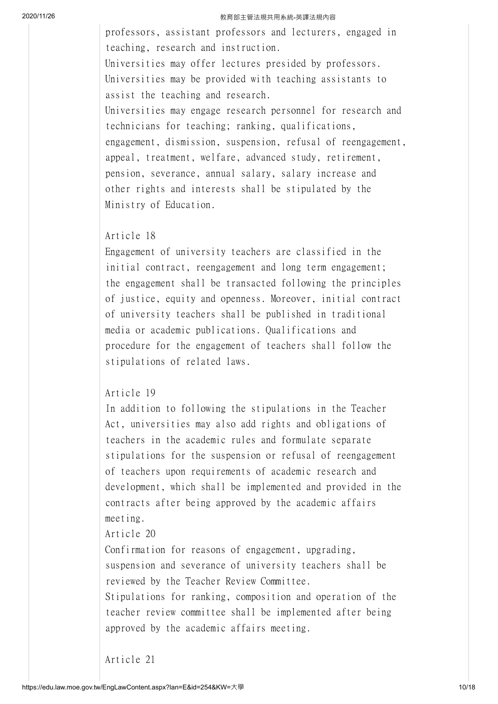professors, assistant professors and lecturers, engaged in teaching, research and instruction. Universities may offer lectures presided by professors. Universities may be provided with teaching assistants to assist the teaching and research. Universities may engage research personnel for research and technicians for teaching; ranking, qualifications, engagement, dismission, suspension, refusal of reengagement, appeal, treatment, welfare, advanced study, retirement, pension, severance, annual salary, salary increase and other rights and interests shall be stipulated by the Ministry of Education.

# Article 18

Engagement of university teachers are classified in the initial contract, reengagement and long term engagement; the engagement shall be transacted following the principles of justice, equity and openness. Moreover, initial contract of university teachers shall be published in traditional media or academic publications. Qualifications and procedure for the engagement of teachers shall follow the stipulations of related laws.

## Article 19

In addition to following the stipulations in the Teacher Act, universities may also add rights and obligations of teachers in the academic rules and formulate separate stipulations for the suspension or refusal of reengagement of teachers upon requirements of academic research and development, which shall be implemented and provided in the contracts after being approved by the academic affairs meeting.

Article 20

Confirmation for reasons of engagement, upgrading, suspension and severance of university teachers shall be reviewed by the Teacher Review Committee.

Stipulations for ranking, composition and operation of the teacher review committee shall be implemented after being approved by the academic affairs meeting.

Article 21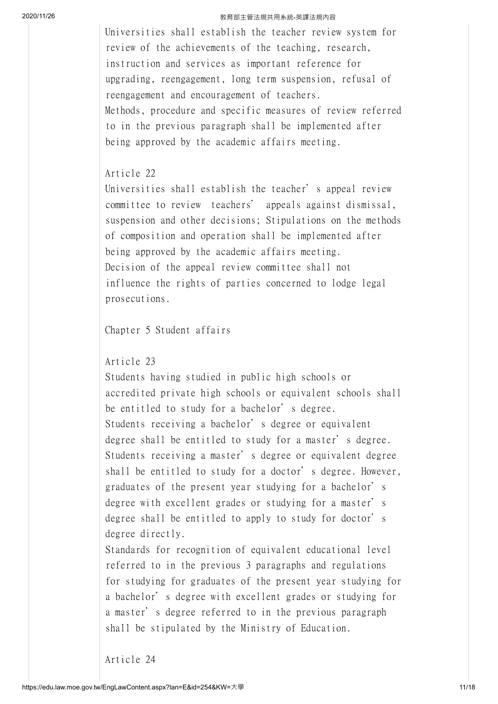Universities shall establish the teacher review system for review of the achievements of the teaching, research, instruction and services as important reference for upgrading, reengagement, long term suspension, refusal of reengagement and encouragement of teachers. Methods, procedure and specific measures of review referred to in the previous paragraph shall be implemented after being approved by the academic affairs meeting.

# Article 22

Universities shall establish the teacher's appeal review committee to review teachers' appeals against dismissal, suspension and other decisions; Stipulations on the methods of composition and operation shall be implemented after being approved by the academic affairs meeting. Decision of the appeal review committee shall not influence the rights of parties concerned to lodge legal prosecutions.

Chapter 5 Student affairs

Article 23

Students having studied in public high schools or accredited private high schools or equivalent schools shall be entitled to study for a bachelor's degree. Students receiving a bachelor's degree or equivalent degree shall be entitled to study for a master's degree. Students receiving a master's degree or equivalent degree shall be entitled to study for a doctor's degree. However, graduates of the present year studying for a bachelor's degree with excellent grades or studying for a master's degree shall be entitled to apply to study for doctor's degree directly.

Standards for recognition of equivalent educational level referred to in the previous 3 paragraphs and regulations for studying for graduates of the present year studying for a bachelor's degree with excellent grades or studying for a master's degree referred to in the previous paragraph shall be stipulated by the Ministry of Education.

Article 24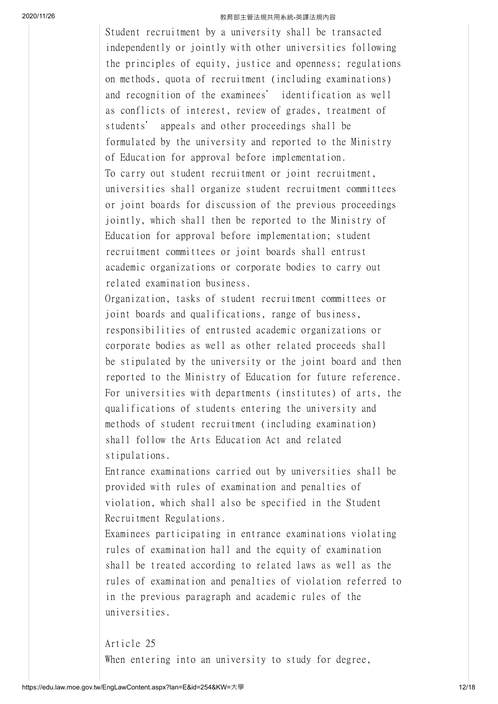Student recruitment by a university shall be transacted independently or jointly with other universities following the principles of equity, justice and openness; regulations on methods, quota of recruitment (including examinations) and recognition of the examinees' identification as well as conflicts of interest, review of grades, treatment of students' appeals and other proceedings shall be formulated by the university and reported to the Ministry of Education for approval before implementation. To carry out student recruitment or joint recruitment, universities shall organize student recruitment committees or joint boards for discussion of the previous proceedings jointly, which shall then be reported to the Ministry of Education for approval before implementation; student recruitment committees or joint boards shall entrust academic organizations or corporate bodies to carry out related examination business. Organization, tasks of student recruitment committees or

joint boards and qualifications, range of business, responsibilities of entrusted academic organizations or corporate bodies as well as other related proceeds shall be stipulated by the university or the joint board and then reported to the Ministry of Education for future reference. For universities with departments (institutes) of arts, the qualifications of students entering the university and methods of student recruitment (including examination) shall follow the Arts Education Act and related stipulations.

Entrance examinations carried out by universities shall be provided with rules of examination and penalties of violation, which shall also be specified in the Student Recruitment Regulations.

Examinees participating in entrance examinations violating rules of examination hall and the equity of examination shall be treated according to related laws as well as the rules of examination and penalties of violation referred to in the previous paragraph and academic rules of the universities.

Article 25 When entering into an university to study for degree,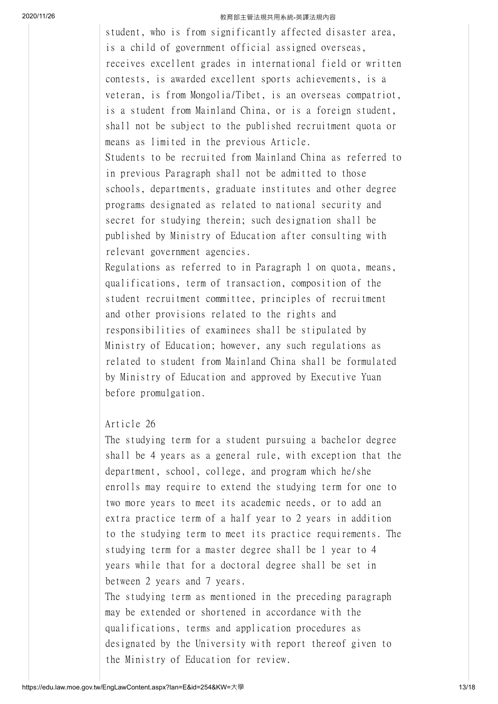student, who is from significantly affected disaster area, is a child of government official assigned overseas, receives excellent grades in international field or written contests, is awarded excellent sports achievements, is a veteran, is from Mongolia/Tibet, is an overseas compatriot, is a student from Mainland China, or is a foreign student, shall not be subject to the published recruitment quota or means as limited in the previous Article.

Students to be recruited from Mainland China as referred to in previous Paragraph shall not be admitted to those schools, departments, graduate institutes and other degree programs designated as related to national security and secret for studying therein; such designation shall be published by Ministry of Education after consulting with relevant government agencies.

Regulations as referred to in Paragraph 1 on quota, means, qualifications, term of transaction, composition of the student recruitment committee, principles of recruitment and other provisions related to the rights and responsibilities of examinees shall be stipulated by Ministry of Education; however, any such regulations as related to student from Mainland China shall be formulated by Ministry of Education and approved by Executive Yuan before promulgation.

#### Article 26

The studying term for a student pursuing a bachelor degree shall be 4 years as a general rule, with exception that the department, school, college, and program which he/she enrolls may require to extend the studying term for one to two more years to meet its academic needs, or to add an extra practice term of a half year to 2 years in addition to the studying term to meet its practice requirements. The studying term for a master degree shall be 1 year to 4 years while that for a doctoral degree shall be set in between 2 years and 7 years.

The studying term as mentioned in the preceding paragraph may be extended or shortened in accordance with the qualifications, terms and application procedures as designated by the University with report thereof given to the Ministry of Education for review.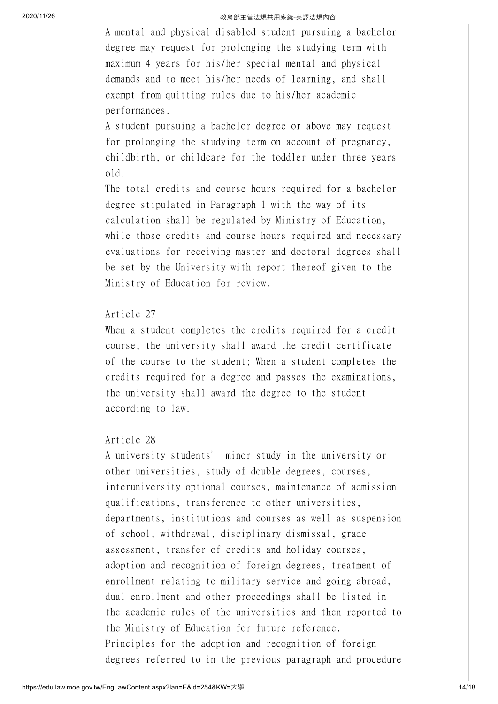A mental and physical disabled student pursuing a bachelor degree may request for prolonging the studying term with maximum 4 years for his/her special mental and physical demands and to meet his/her needs of learning, and shall exempt from quitting rules due to his/her academic performances.

A student pursuing a bachelor degree or above may request for prolonging the studying term on account of pregnancy, childbirth, or childcare for the toddler under three years old.

The total credits and course hours required for a bachelor degree stipulated in Paragraph 1 with the way of its calculation shall be regulated by Ministry of Education, while those credits and course hours required and necessary evaluations for receiving master and doctoral degrees shall be set by the University with report thereof given to the Ministry of Education for review.

## Article 27

When a student completes the credits required for a credit course, the university shall award the credit certificate of the course to the student; When a student completes the credits required for a degree and passes the examinations, the university shall award the degree to the student according to law.

# Article 28

A university students' minor study in the university or other universities, study of double degrees, courses, interuniversity optional courses, maintenance of admission qualifications, transference to other universities, departments, institutions and courses as well as suspension of school, withdrawal, disciplinary dismissal, grade assessment, transfer of credits and holiday courses, adoption and recognition of foreign degrees, treatment of enrollment relating to military service and going abroad, dual enrollment and other proceedings shall be listed in the academic rules of the universities and then reported to the Ministry of Education for future reference. Principles for the adoption and recognition of foreign degrees referred to in the previous paragraph and procedure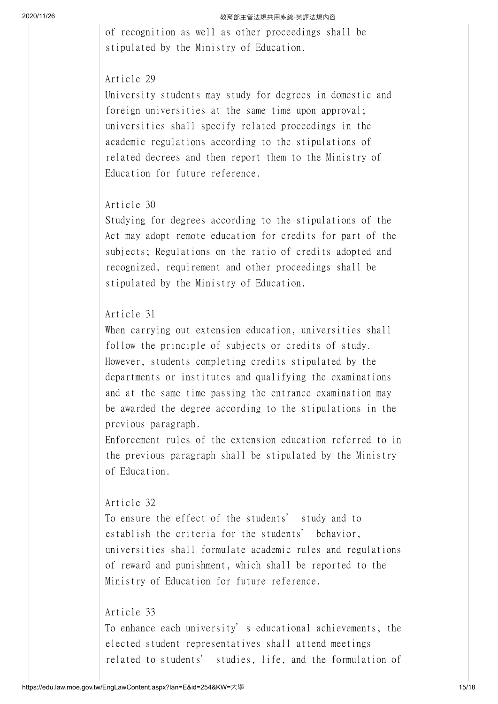of recognition as well as other proceedings shall be stipulated by the Ministry of Education.

## Article 29

University students may study for degrees in domestic and foreign universities at the same time upon approval; universities shall specify related proceedings in the academic regulations according to the stipulations of related decrees and then report them to the Ministry of Education for future reference.

## Article 30

Studying for degrees according to the stipulations of the Act may adopt remote education for credits for part of the subjects; Regulations on the ratio of credits adopted and recognized, requirement and other proceedings shall be stipulated by the Ministry of Education.

# Article 31

When carrying out extension education, universities shall follow the principle of subjects or credits of study. However, students completing credits stipulated by the departments or institutes and qualifying the examinations and at the same time passing the entrance examination may be awarded the degree according to the stipulations in the previous paragraph.

Enforcement rules of the extension education referred to in the previous paragraph shall be stipulated by the Ministry of Education.

## Article 32

To ensure the effect of the students' study and to establish the criteria for the students' behavior, universities shall formulate academic rules and regulations of reward and punishment, which shall be reported to the Ministry of Education for future reference.

## Article 33

To enhance each university's educational achievements, the elected student representatives shall attend meetings related to students' studies, life, and the formulation of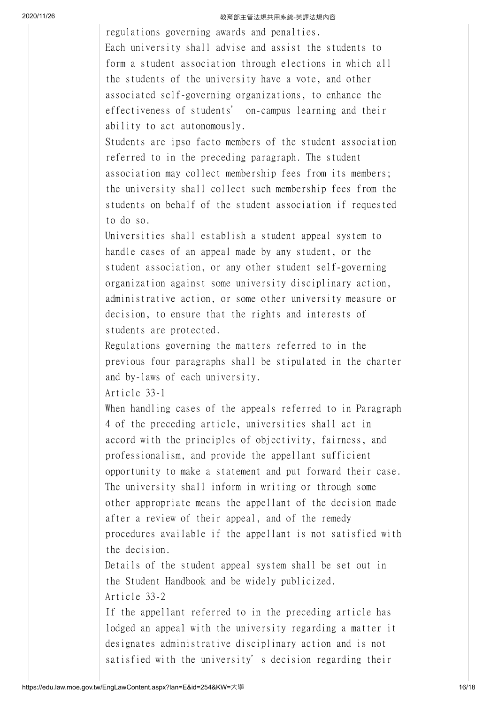regulations governing awards and penalties. Each university shall advise and assist the students to form a student association through elections in which all the students of the university have a vote, and other associated self-governing organizations, to enhance the effectiveness of students' on-campus learning and their ability to act autonomously.

Students are ipso facto members of the student association referred to in the preceding paragraph. The student association may collect membership fees from its members; the university shall collect such membership fees from the students on behalf of the student association if requested to do so.

Universities shall establish a student appeal system to handle cases of an appeal made by any student, or the student association, or any other student self-governing organization against some university disciplinary action, administrative action, or some other university measure or decision, to ensure that the rights and interests of students are protected.

Regulations governing the matters referred to in the previous four paragraphs shall be stipulated in the charter and by-laws of each university.

Article 33-1

When handling cases of the appeals referred to in Paragraph 4 of the preceding article, universities shall act in accord with the principles of objectivity, fairness, and professionalism, and provide the appellant sufficient opportunity to make a statement and put forward their case. The university shall inform in writing or through some other appropriate means the appellant of the decision made after a review of their appeal, and of the remedy procedures available if the appellant is not satisfied with the decision.

Details of the student appeal system shall be set out in the Student Handbook and be widely publicized. Article 33-2

If the appellant referred to in the preceding article has lodged an appeal with the university regarding a matter it designates administrative disciplinary action and is not satisfied with the university's decision regarding their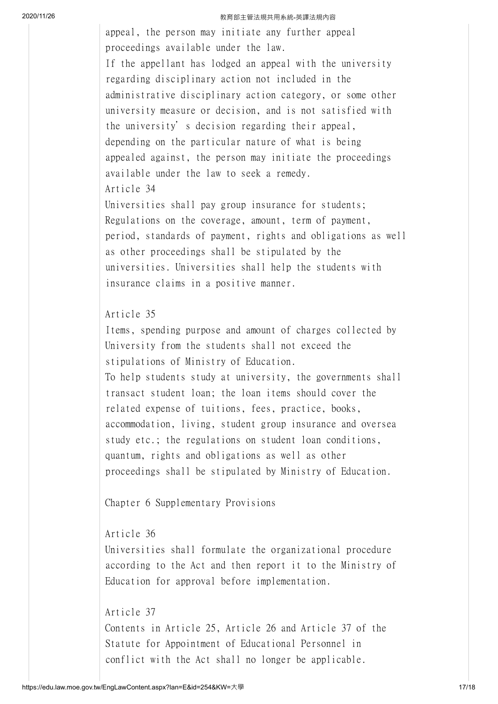appeal, the person may initiate any further appeal proceedings available under the law. If the appellant has lodged an appeal with the university regarding disciplinary action not included in the administrative disciplinary action category, or some other university measure or decision, and is not satisfied with the university's decision regarding their appeal, depending on the particular nature of what is being appealed against, the person may initiate the proceedings available under the law to seek a remedy. Article 34

Universities shall pay group insurance for students; Regulations on the coverage, amount, term of payment, period, standards of payment, rights and obligations as well as other proceedings shall be stipulated by the universities. Universities shall help the students with insurance claims in a positive manner.

# Article 35

Items, spending purpose and amount of charges collected by University from the students shall not exceed the stipulations of Ministry of Education. To help students study at university, the governments shall transact student loan; the loan items should cover the related expense of tuitions, fees, practice, books, accommodation, living, student group insurance and oversea study etc.; the regulations on student loan conditions, quantum, rights and obligations as well as other proceedings shall be stipulated by Ministry of Education.

Chapter 6 Supplementary Provisions

# Article 36

Universities shall formulate the organizational procedure according to the Act and then report it to the Ministry of Education for approval before implementation.

## Article 37

Contents in Article 25, Article 26 and Article 37 of the Statute for Appointment of Educational Personnel in conflict with the Act shall no longer be applicable.